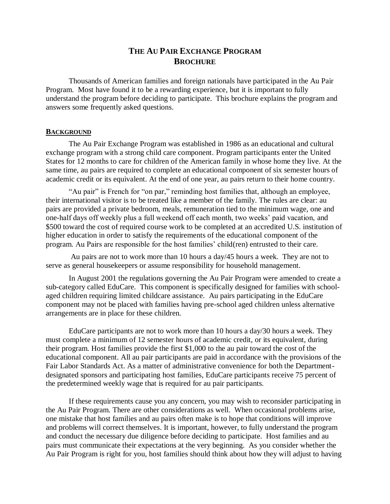# **THE AU PAIR EXCHANGE PROGRAM BROCHURE**

Thousands of American families and foreign nationals have participated in the Au Pair Program. Most have found it to be a rewarding experience, but it is important to fully understand the program before deciding to participate. This brochure explains the program and answers some frequently asked questions.

## **BACKGROUND**

The Au Pair Exchange Program was established in 1986 as an educational and cultural exchange program with a strong child care component. Program participants enter the United States for 12 months to care for children of the American family in whose home they live. At the same time, au pairs are required to complete an educational component of six semester hours of academic credit or its equivalent. At the end of one year, au pairs return to their home country.

"Au pair" is French for "on par," reminding host families that, although an employee, their international visitor is to be treated like a member of the family. The rules are clear: au pairs are provided a private bedroom, meals, remuneration tied to the minimum wage, one and one-half days off weekly plus a full weekend off each month, two weeks' paid vacation, and \$500 toward the cost of required course work to be completed at an accredited U.S. institution of higher education in order to satisfy the requirements of the educational component of the program. Au Pairs are responsible for the host families' child(ren) entrusted to their care.

Au pairs are not to work more than 10 hours a day/45 hours a week. They are not to serve as general housekeepers or assume responsibility for household management.

In August 2001 the regulations governing the Au Pair Program were amended to create a sub-category called EduCare. This component is specifically designed for families with schoolaged children requiring limited childcare assistance. Au pairs participating in the EduCare component may not be placed with families having pre-school aged children unless alternative arrangements are in place for these children.

EduCare participants are not to work more than 10 hours a day/30 hours a week. They must complete a minimum of 12 semester hours of academic credit, or its equivalent, during their program. Host families provide the first \$1,000 to the au pair toward the cost of the educational component. All au pair participants are paid in accordance with the provisions of the Fair Labor Standards Act. As a matter of administrative convenience for both the Departmentdesignated sponsors and participating host families, EduCare participants receive 75 percent of the predetermined weekly wage that is required for au pair participants.

If these requirements cause you any concern, you may wish to reconsider participating in the Au Pair Program. There are other considerations as well. When occasional problems arise, one mistake that host families and au pairs often make is to hope that conditions will improve and problems will correct themselves. It is important, however, to fully understand the program and conduct the necessary due diligence before deciding to participate. Host families and au pairs must communicate their expectations at the very beginning. As you consider whether the Au Pair Program is right for you, host families should think about how they will adjust to having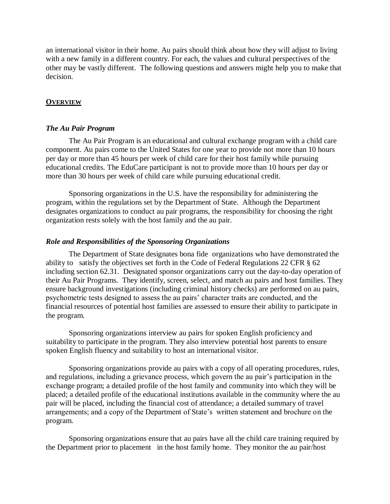an international visitor in their home. Au pairs should think about how they will adjust to living with a new family in a different country. For each, the values and cultural perspectives of the other may be vastly different. The following questions and answers might help you to make that decision.

# **OVERVIEW**

# *The Au Pair Program*

The Au Pair Program is an educational and cultural exchange program with a child care component. Au pairs come to the United States for one year to provide not more than 10 hours per day or more than 45 hours per week of child care for their host family while pursuing educational credits. The EduCare participant is not to provide more than 10 hours per day or more than 30 hours per week of child care while pursuing educational credit.

Sponsoring organizations in the U.S. have the responsibility for administering the program, within the regulations set by the Department of State. Although the Department designates organizations to conduct au pair programs, the responsibility for choosing the right organization rests solely with the host family and the au pair.

# *Role and Responsibilities of the Sponsoring Organizations*

The Department of State designates bona fide organizations who have demonstrated the ability to satisfy the objectives set forth in the Code of Federal Regulations 22 CFR § 62 including section 62.31. Designated sponsor organizations carry out the day-to-day operation of their Au Pair Programs. They identify, screen, select, and match au pairs and host families. They ensure background investigations (including criminal history checks) are performed on au pairs, psychometric tests designed to assess the au pairs' character traits are conducted, and the financial resources of potential host families are assessed to ensure their ability to participate in the program.

Sponsoring organizations interview au pairs for spoken English proficiency and suitability to participate in the program. They also interview potential host parents to ensure spoken English fluency and suitability to host an international visitor.

Sponsoring organizations provide au pairs with a copy of all operating procedures, rules, and regulations, including a grievance process, which govern the au pair's participation in the exchange program; a detailed profile of the host family and community into which they will be placed; a detailed profile of the educational institutions available in the community where the au pair will be placed, including the financial cost of attendance; a detailed summary of travel arrangements; and a copy of the Department of State's written statement and brochure on the program.

Sponsoring organizations ensure that au pairs have all the child care training required by the Department prior to placement in the host family home. They monitor the au pair/host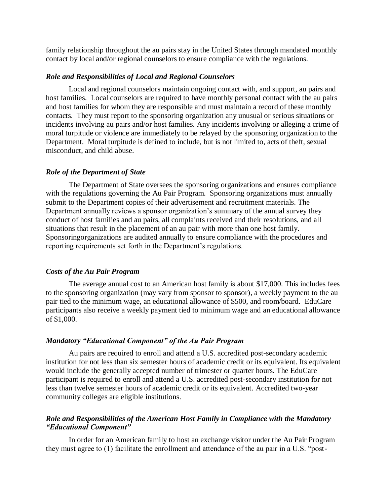family relationship throughout the au pairs stay in the United States through mandated monthly contact by local and/or regional counselors to ensure compliance with the regulations.

# *Role and Responsibilities of Local and Regional Counselors*

Local and regional counselors maintain ongoing contact with, and support, au pairs and host families. Local counselors are required to have monthly personal contact with the au pairs and host families for whom they are responsible and must maintain a record of these monthly contacts. They must report to the sponsoring organization any unusual or serious situations or incidents involving au pairs and/or host families. Any incidents involving or alleging a crime of moral turpitude or violence are immediately to be relayed by the sponsoring organization to the Department. Moral turpitude is defined to include, but is not limited to, acts of theft, sexual misconduct, and child abuse.

#### *Role of the Department of State*

The Department of State oversees the sponsoring organizations and ensures compliance with the regulations governing the Au Pair Program. Sponsoring organizations must annually submit to the Department copies of their advertisement and recruitment materials. The Department annually reviews a sponsor organization's summary of the annual survey they conduct of host families and au pairs, all complaints received and their resolutions, and all situations that result in the placement of an au pair with more than one host family. Sponsoringorganizations are audited annually to ensure compliance with the procedures and reporting requirements set forth in the Department's regulations.

#### *Costs of the Au Pair Program*

The average annual cost to an American host family is about \$17,000. This includes fees to the sponsoring organization (may vary from sponsor to sponsor), a weekly payment to the au pair tied to the minimum wage, an educational allowance of \$500, and room/board. EduCare participants also receive a weekly payment tied to minimum wage and an educational allowance of \$1,000.

# *Mandatory "Educational Component" of the Au Pair Program*

Au pairs are required to enroll and attend a U.S. accredited post-secondary academic institution for not less than six semester hours of academic credit or its equivalent. Its equivalent would include the generally accepted number of trimester or quarter hours. The EduCare participant is required to enroll and attend a U.S. accredited post-secondary institution for not less than twelve semester hours of academic credit or its equivalent. Accredited two-year community colleges are eligible institutions.

# *Role and Responsibilities of the American Host Family in Compliance with the Mandatory "Educational Component"*

In order for an American family to host an exchange visitor under the Au Pair Program they must agree to (1) facilitate the enrollment and attendance of the au pair in a U.S. "post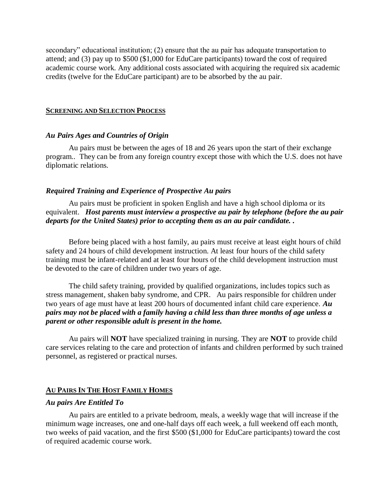secondary" educational institution; (2) ensure that the au pair has adequate transportation to attend; and (3) pay up to \$500 (\$1,000 for EduCare participants) toward the cost of required academic course work. Any additional costs associated with acquiring the required six academic credits (twelve for the EduCare participant) are to be absorbed by the au pair.

#### **SCREENING AND SELECTION PROCESS**

#### *Au Pairs Ages and Countries of Origin*

Au pairs must be between the ages of 18 and 26 years upon the start of their exchange program.. They can be from any foreign country except those with which the U.S. does not have diplomatic relations.

#### *Required Training and Experience of Prospective Au pairs*

Au pairs must be proficient in spoken English and have a high school diploma or its equivalent. *Host parents must interview a prospective au pair by telephone (before the au pair departs for the United States) prior to accepting them as an au pair candidate. .*

Before being placed with a host family, au pairs must receive at least eight hours of child safety and 24 hours of child development instruction. At least four hours of the child safety training must be infant-related and at least four hours of the child development instruction must be devoted to the care of children under two years of age.

The child safety training, provided by qualified organizations, includes topics such as stress management, shaken baby syndrome, and CPR. Au pairs responsible for children under two years of age must have at least 200 hours of documented infant child care experience. *Au pairs may not be placed with a family having a child less than three months of age unless a parent or other responsible adult is present in the home.*

Au pairs will **NOT** have specialized training in nursing. They are **NOT** to provide child care services relating to the care and protection of infants and children performed by such trained personnel, as registered or practical nurses.

## **AU PAIRS IN THE HOST FAMILY HOMES**

#### *Au pairs Are Entitled To*

Au pairs are entitled to a private bedroom, meals, a weekly wage that will increase if the minimum wage increases, one and one-half days off each week, a full weekend off each month, two weeks of paid vacation, and the first \$500 (\$1,000 for EduCare participants) toward the cost of required academic course work.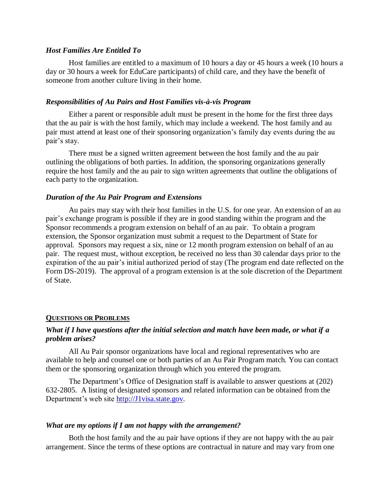### *Host Families Are Entitled To*

Host families are entitled to a maximum of 10 hours a day or 45 hours a week (10 hours a day or 30 hours a week for EduCare participants) of child care, and they have the benefit of someone from another culture living in their home.

#### *Responsibilities of Au Pairs and Host Families vis-à-vis Program*

Either a parent or responsible adult must be present in the home for the first three days that the au pair is with the host family, which may include a weekend. The host family and au pair must attend at least one of their sponsoring organization's family day events during the au pair's stay.

There must be a signed written agreement between the host family and the au pair outlining the obligations of both parties. In addition, the sponsoring organizations generally require the host family and the au pair to sign written agreements that outline the obligations of each party to the organization.

### *Duration of the Au Pair Program and Extensions*

Au pairs may stay with their host families in the U.S. for one year. An extension of an au pair's exchange program is possible if they are in good standing within the program and the Sponsor recommends a program extension on behalf of an au pair. To obtain a program extension, the Sponsor organization must submit a request to the Department of State for approval. Sponsors may request a six, nine or 12 month program extension on behalf of an au pair. The request must, without exception, be received no less than 30 calendar days prior to the expiration of the au pair's initial authorized period of stay (The program end date reflected on the Form DS-2019). The approval of a program extension is at the sole discretion of the Department of State.

#### **QUESTIONS OR PROBLEMS**

# *What if I have questions after the initial selection and match have been made, or what if a problem arises?*

All Au Pair sponsor organizations have local and regional representatives who are available to help and counsel one or both parties of an Au Pair Program match. You can contact them or the sponsoring organization through which you entered the program.

The Department's Office of Designation staff is available to answer questions at (202) 632-2805. A listing of designated sponsors and related information can be obtained from the Department's web site [http://J1visa.state.gov.](http://j1visa.state.gov/)

#### *What are my options if I am not happy with the arrangement?*

Both the host family and the au pair have options if they are not happy with the au pair arrangement. Since the terms of these options are contractual in nature and may vary from one